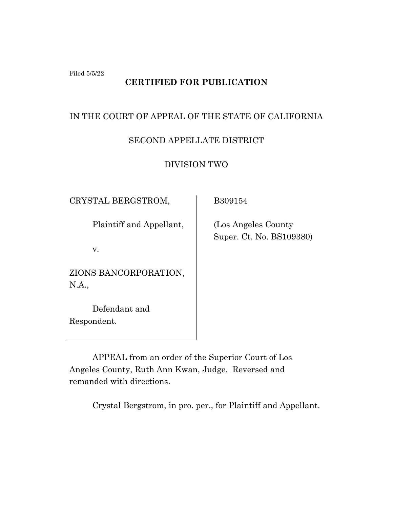Filed 5/5/22

# **CERTIFIED FOR PUBLICATION**

## IN THE COURT OF APPEAL OF THE STATE OF CALIFORNIA

# SECOND APPELLATE DISTRICT

DIVISION TWO

CRYSTAL BERGSTROM,

Plaintiff and Appellant,

v.

ZIONS BANCORPORATION, N.A.,

Defendant and Respondent.

B309154

 (Los Angeles County Super. Ct. No. BS109380)

APPEAL from an order of the Superior Court of Los Angeles County, Ruth Ann Kwan, Judge. Reversed and remanded with directions.

Crystal Bergstrom, in pro. per., for Plaintiff and Appellant.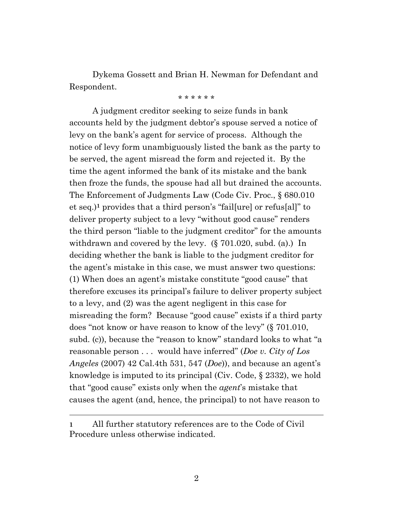Dykema Gossett and Brian H. Newman for Defendant and Respondent.

\* \* \* \* \* \*

A judgment creditor seeking to seize funds in bank accounts held by the judgment debtor's spouse served a notice of levy on the bank's agent for service of process. Although the notice of levy form unambiguously listed the bank as the party to be served, the agent misread the form and rejected it. By the time the agent informed the bank of its mistake and the bank then froze the funds, the spouse had all but drained the accounts. The Enforcement of Judgments Law (Code Civ. Proc., § 680.010 et seq.)**<sup>1</sup>** provides that a third person's "fail[ure] or refus[al]" to deliver property subject to a levy "without good cause" renders the third person "liable to the judgment creditor" for the amounts withdrawn and covered by the levy. (§ 701.020, subd. (a).) In deciding whether the bank is liable to the judgment creditor for the agent's mistake in this case, we must answer two questions: (1) When does an agent's mistake constitute "good cause" that therefore excuses its principal's failure to deliver property subject to a levy, and (2) was the agent negligent in this case for misreading the form? Because "good cause" exists if a third party does "not know or have reason to know of the levy" (§ 701.010, subd. (c)), because the "reason to know" standard looks to what "a reasonable person . . . would have inferred" (*Doe v. City of Los Angeles* (2007) 42 Cal.4th 531, 547 (*Doe*)), and because an agent's knowledge is imputed to its principal (Civ. Code, § 2332), we hold that "good cause" exists only when the *agent*'s mistake that causes the agent (and, hence, the principal) to not have reason to

**<sup>1</sup>** All further statutory references are to the Code of Civil Procedure unless otherwise indicated.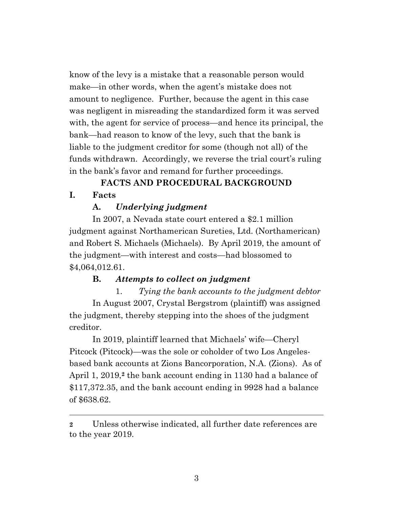know of the levy is a mistake that a reasonable person would make—in other words, when the agent's mistake does not amount to negligence. Further, because the agent in this case was negligent in misreading the standardized form it was served with, the agent for service of process—and hence its principal, the bank—had reason to know of the levy, such that the bank is liable to the judgment creditor for some (though not all) of the funds withdrawn. Accordingly, we reverse the trial court's ruling in the bank's favor and remand for further proceedings.

# **FACTS AND PROCEDURAL BACKGROUND**

### **I. Facts**

## **A.** *Underlying judgment*

In 2007, a Nevada state court entered a \$2.1 million judgment against Northamerican Sureties, Ltd. (Northamerican) and Robert S. Michaels (Michaels). By April 2019, the amount of the judgment—with interest and costs—had blossomed to \$4,064,012.61.

## **B.** *Attempts to collect on judgment*

1. *Tying the bank accounts to the judgment debtor* In August 2007, Crystal Bergstrom (plaintiff) was assigned the judgment, thereby stepping into the shoes of the judgment creditor.

In 2019, plaintiff learned that Michaels' wife—Cheryl Pitcock (Pitcock)—was the sole or coholder of two Los Angelesbased bank accounts at Zions Bancorporation, N.A. (Zions). As of April 1, 2019,**<sup>2</sup>** the bank account ending in 1130 had a balance of \$117,372.35, and the bank account ending in 9928 had a balance of \$638.62.

**<sup>2</sup>** Unless otherwise indicated, all further date references are to the year 2019.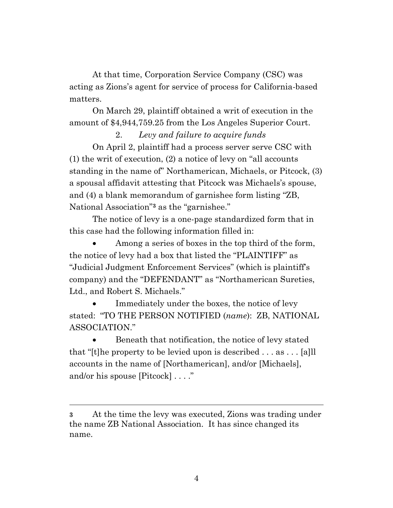At that time, Corporation Service Company (CSC) was acting as Zions's agent for service of process for California-based matters.

On March 29, plaintiff obtained a writ of execution in the amount of \$4,944,759.25 from the Los Angeles Superior Court.

# 2. *Levy and failure to acquire funds*

On April 2, plaintiff had a process server serve CSC with (1) the writ of execution, (2) a notice of levy on "all accounts standing in the name of" Northamerican, Michaels, or Pitcock, (3) a spousal affidavit attesting that Pitcock was Michaels's spouse, and (4) a blank memorandum of garnishee form listing "ZB, National Association"**<sup>3</sup>** as the "garnishee."

The notice of levy is a one-page standardized form that in this case had the following information filled in:

Among a series of boxes in the top third of the form, the notice of levy had a box that listed the "PLAINTIFF" as "Judicial Judgment Enforcement Services" (which is plaintiff's company) and the "DEFENDANT" as "Northamerican Sureties, Ltd., and Robert S. Michaels."

Immediately under the boxes, the notice of levy stated: "TO THE PERSON NOTIFIED (*name*): ZB, NATIONAL ASSOCIATION."

Beneath that notification, the notice of levy stated that "[t]he property to be levied upon is described . . . as . . . [a]ll accounts in the name of [Northamerican], and/or [Michaels], and/or his spouse [Pitcock] . . . ."

**<sup>3</sup>** At the time the levy was executed, Zions was trading under the name ZB National Association. It has since changed its name.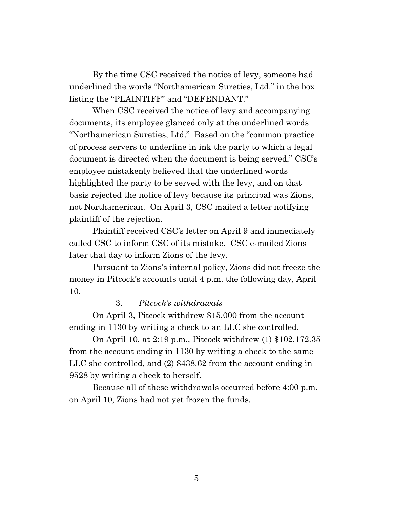By the time CSC received the notice of levy, someone had underlined the words "Northamerican Sureties, Ltd." in the box listing the "PLAINTIFF" and "DEFENDANT."

When CSC received the notice of levy and accompanying documents, its employee glanced only at the underlined words "Northamerican Sureties, Ltd." Based on the "common practice of process servers to underline in ink the party to which a legal document is directed when the document is being served," CSC's employee mistakenly believed that the underlined words highlighted the party to be served with the levy, and on that basis rejected the notice of levy because its principal was Zions, not Northamerican. On April 3, CSC mailed a letter notifying plaintiff of the rejection.

Plaintiff received CSC's letter on April 9 and immediately called CSC to inform CSC of its mistake. CSC e-mailed Zions later that day to inform Zions of the levy.

Pursuant to Zions's internal policy, Zions did not freeze the money in Pitcock's accounts until 4 p.m. the following day, April 10.

### 3. *Pitcock's withdrawals*

On April 3, Pitcock withdrew \$15,000 from the account ending in 1130 by writing a check to an LLC she controlled.

On April 10, at 2:19 p.m., Pitcock withdrew (1) \$102,172.35 from the account ending in 1130 by writing a check to the same LLC she controlled, and (2) \$438.62 from the account ending in 9528 by writing a check to herself.

Because all of these withdrawals occurred before 4:00 p.m. on April 10, Zions had not yet frozen the funds.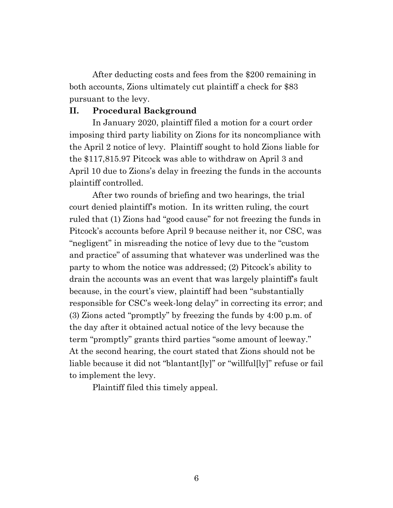After deducting costs and fees from the \$200 remaining in both accounts, Zions ultimately cut plaintiff a check for \$83 pursuant to the levy.

## **II. Procedural Background**

In January 2020, plaintiff filed a motion for a court order imposing third party liability on Zions for its noncompliance with the April 2 notice of levy. Plaintiff sought to hold Zions liable for the \$117,815.97 Pitcock was able to withdraw on April 3 and April 10 due to Zions's delay in freezing the funds in the accounts plaintiff controlled.

After two rounds of briefing and two hearings, the trial court denied plaintiff's motion. In its written ruling, the court ruled that (1) Zions had "good cause" for not freezing the funds in Pitcock's accounts before April 9 because neither it, nor CSC, was "negligent" in misreading the notice of levy due to the "custom and practice" of assuming that whatever was underlined was the party to whom the notice was addressed; (2) Pitcock's ability to drain the accounts was an event that was largely plaintiff's fault because, in the court's view, plaintiff had been "substantially responsible for CSC's week-long delay" in correcting its error; and (3) Zions acted "promptly" by freezing the funds by 4:00 p.m. of the day after it obtained actual notice of the levy because the term "promptly" grants third parties "some amount of leeway." At the second hearing, the court stated that Zions should not be liable because it did not "blantant[ly]" or "willful[ly]" refuse or fail to implement the levy.

Plaintiff filed this timely appeal.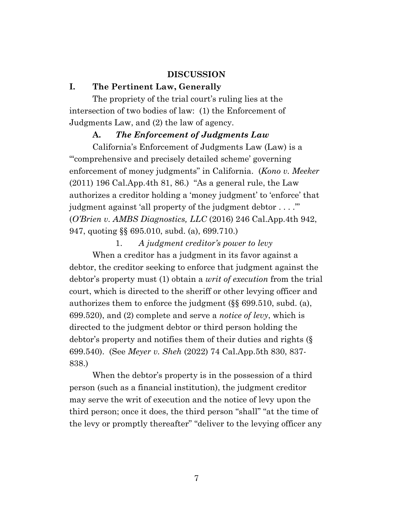### **DISCUSSION**

### **I. The Pertinent Law, Generally**

The propriety of the trial court's ruling lies at the intersection of two bodies of law: (1) the Enforcement of Judgments Law, and (2) the law of agency.

### **A.** *The Enforcement of Judgments Law*

California's Enforcement of Judgments Law (Law) is a "'comprehensive and precisely detailed scheme' governing enforcement of money judgments" in California. (*Kono v. Meeker*  $(2011)$  196 Cal.App.4th 81, 86.) "As a general rule, the Law authorizes a creditor holding a 'money judgment' to 'enforce' that judgment against 'all property of the judgment debtor . . . .'" (*O'Brien v. AMBS Diagnostics, LLC* (2016) 246 Cal.App.4th 942, 947, quoting §§ 695.010, subd. (a), 699.710.)

1. *A judgment creditor's power to levy*

When a creditor has a judgment in its favor against a debtor, the creditor seeking to enforce that judgment against the debtor's property must (1) obtain a *writ of execution* from the trial court, which is directed to the sheriff or other levying officer and authorizes them to enforce the judgment (§§ 699.510, subd. (a), 699.520), and (2) complete and serve a *notice of levy*, which is directed to the judgment debtor or third person holding the debtor's property and notifies them of their duties and rights (§ 699.540). (See *Meyer v. Sheh* (2022) 74 Cal.App.5th 830, 837- 838.)

When the debtor's property is in the possession of a third person (such as a financial institution), the judgment creditor may serve the writ of execution and the notice of levy upon the third person; once it does, the third person "shall" "at the time of the levy or promptly thereafter" "deliver to the levying officer any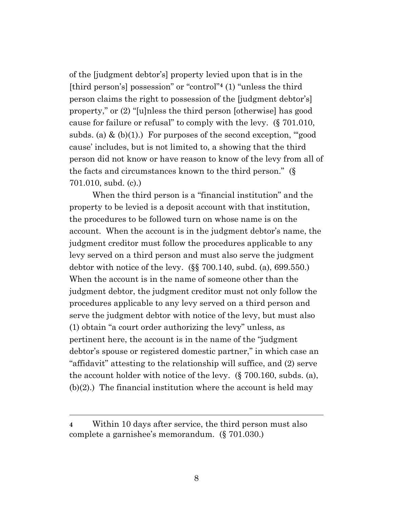of the [judgment debtor's] property levied upon that is in the [third person's] possession" or "control"**<sup>4</sup>** (1) "unless the third person claims the right to possession of the [judgment debtor's] property," or (2) "[u]nless the third person [otherwise] has good cause for failure or refusal" to comply with the levy. (§ 701.010, subds. (a)  $\&$  (b)(1).) For purposes of the second exception, "good cause' includes, but is not limited to, a showing that the third person did not know or have reason to know of the levy from all of the facts and circumstances known to the third person." (§ 701.010, subd. (c).)

When the third person is a "financial institution" and the property to be levied is a deposit account with that institution, the procedures to be followed turn on whose name is on the account. When the account is in the judgment debtor's name, the judgment creditor must follow the procedures applicable to any levy served on a third person and must also serve the judgment debtor with notice of the levy. (§§ 700.140, subd. (a), 699.550.) When the account is in the name of someone other than the judgment debtor, the judgment creditor must not only follow the procedures applicable to any levy served on a third person and serve the judgment debtor with notice of the levy, but must also (1) obtain "a court order authorizing the levy" unless, as pertinent here, the account is in the name of the "judgment debtor's spouse or registered domestic partner," in which case an "affidavit" attesting to the relationship will suffice, and (2) serve the account holder with notice of the levy. (§ 700.160, subds. (a), (b)(2).) The financial institution where the account is held may

**<sup>4</sup>** Within 10 days after service, the third person must also complete a garnishee's memorandum. (§ 701.030.)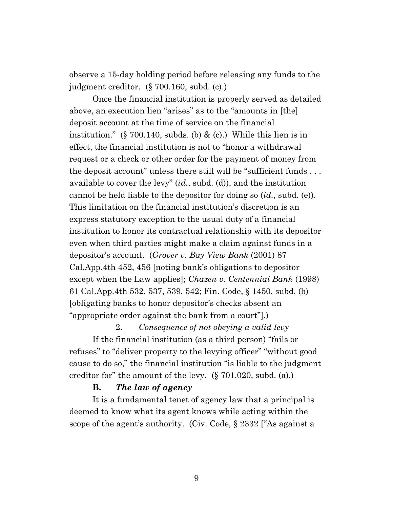observe a 15-day holding period before releasing any funds to the judgment creditor. (§ 700.160, subd. (c).)

Once the financial institution is properly served as detailed above, an execution lien "arises" as to the "amounts in [the] deposit account at the time of service on the financial institution." (§ 700.140, subds. (b)  $\&$  (c).) While this lien is in effect, the financial institution is not to "honor a withdrawal request or a check or other order for the payment of money from the deposit account" unless there still will be "sufficient funds . . . available to cover the levy" (*id.*, subd. (d)), and the institution cannot be held liable to the depositor for doing so (*id.*, subd. (e)). This limitation on the financial institution's discretion is an express statutory exception to the usual duty of a financial institution to honor its contractual relationship with its depositor even when third parties might make a claim against funds in a depositor's account. (*Grover v. Bay View Bank* (2001) 87 Cal.App.4th 452, 456 [noting bank's obligations to depositor except when the Law applies]; *Chazen v. Centennial Bank* (1998) 61 Cal.App.4th 532, 537, 539, 542; Fin. Code, § 1450, subd. (b) [obligating banks to honor depositor's checks absent an "appropriate order against the bank from a court"].)

2. *Consequence of not obeying a valid levy* If the financial institution (as a third person) "fails or refuses" to "deliver property to the levying officer" "without good cause to do so," the financial institution "is liable to the judgment creditor for" the amount of the levy. (§ 701.020, subd. (a).)

#### **B.** *The law of agency*

It is a fundamental tenet of agency law that a principal is deemed to know what its agent knows while acting within the scope of the agent's authority. (Civ. Code, § 2332 ["As against a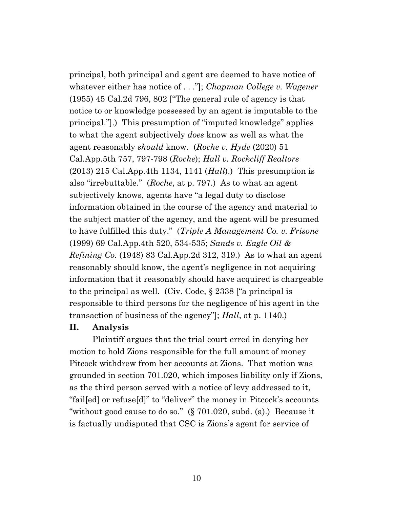principal, both principal and agent are deemed to have notice of whatever either has notice of . . ."]; *Chapman College v. Wagener* (1955) 45 Cal.2d 796, 802 ["The general rule of agency is that notice to or knowledge possessed by an agent is imputable to the principal."].) This presumption of "imputed knowledge" applies to what the agent subjectively *does* know as well as what the agent reasonably *should* know. (*Roche v. Hyde* (2020) 51 Cal.App.5th 757, 797-798 (*Roche*); *Hall v. Rockcliff Realtors* (2013) 215 Cal.App.4th 1134, 1141 (*Hall*).) This presumption is also "irrebuttable." (*Roche*, at p. 797.) As to what an agent subjectively knows, agents have "a legal duty to disclose information obtained in the course of the agency and material to the subject matter of the agency, and the agent will be presumed to have fulfilled this duty." (*Triple A Management Co. v. Frisone* (1999) 69 Cal.App.4th 520, 534-535; *Sands v. Eagle Oil & Refining Co.* (1948) 83 Cal.App.2d 312, 319.) As to what an agent reasonably should know, the agent's negligence in not acquiring information that it reasonably should have acquired is chargeable to the principal as well. (Civ. Code, § 2338 ["a principal is responsible to third persons for the negligence of his agent in the transaction of business of the agency"]; *Hall*, at p. 1140.)

### **II. Analysis**

Plaintiff argues that the trial court erred in denying her motion to hold Zions responsible for the full amount of money Pitcock withdrew from her accounts at Zions. That motion was grounded in section 701.020, which imposes liability only if Zions, as the third person served with a notice of levy addressed to it, "fail[ed] or refuse[d]" to "deliver" the money in Pitcock's accounts "without good cause to do so." (§ 701.020, subd. (a).) Because it is factually undisputed that CSC is Zions's agent for service of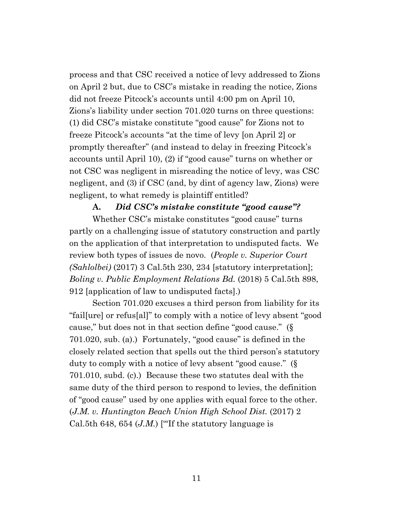process and that CSC received a notice of levy addressed to Zions on April 2 but, due to CSC's mistake in reading the notice, Zions did not freeze Pitcock's accounts until 4:00 pm on April 10, Zions's liability under section 701.020 turns on three questions: (1) did CSC's mistake constitute "good cause" for Zions not to freeze Pitcock's accounts "at the time of levy [on April 2] or promptly thereafter" (and instead to delay in freezing Pitcock's accounts until April 10), (2) if "good cause" turns on whether or not CSC was negligent in misreading the notice of levy, was CSC negligent, and (3) if CSC (and, by dint of agency law, Zions) were negligent, to what remedy is plaintiff entitled?

### **A.** *Did CSC's mistake constitute "good cause"?*

Whether CSC's mistake constitutes "good cause" turns partly on a challenging issue of statutory construction and partly on the application of that interpretation to undisputed facts. We review both types of issues de novo. (*People v. Superior Court (Sahlolbei)* (2017) 3 Cal.5th 230, 234 [statutory interpretation]; *Boling v. Public Employment Relations Bd.* (2018) 5 Cal.5th 898, 912 [application of law to undisputed facts].)

Section 701.020 excuses a third person from liability for its "fail[ure] or refus[al]" to comply with a notice of levy absent "good cause," but does not in that section define "good cause." (§ 701.020, sub. (a).) Fortunately, "good cause" is defined in the closely related section that spells out the third person's statutory duty to comply with a notice of levy absent "good cause." (§ 701.010, subd. (c).) Because these two statutes deal with the same duty of the third person to respond to levies, the definition of "good cause" used by one applies with equal force to the other. (*J.M. v. Huntington Beach Union High School Dist.* (2017) 2 Cal.5th 648, 654  $(J.M.)$  ["If the statutory language is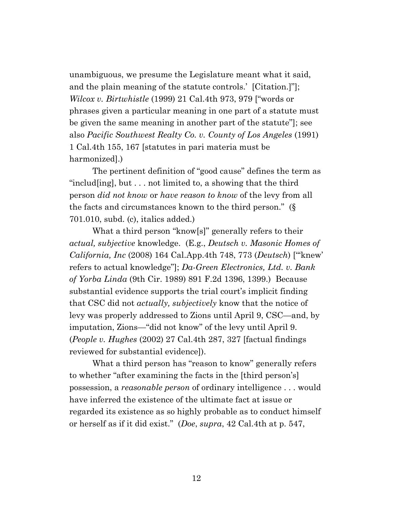unambiguous, we presume the Legislature meant what it said, and the plain meaning of the statute controls.' [Citation.]"]; *Wilcox v. Birtwhistle* (1999) 21 Cal.4th 973, 979 ["words or phrases given a particular meaning in one part of a statute must be given the same meaning in another part of the statute"]; see also *Pacific Southwest Realty Co. v. County of Los Angeles* (1991) 1 Cal.4th 155, 167 [statutes in pari materia must be harmonized].)

The pertinent definition of "good cause" defines the term as "includ[ing], but . . . not limited to, a showing that the third person *did not know* or *have reason to know* of the levy from all the facts and circumstances known to the third person." (§ 701.010, subd. (c), italics added.)

What a third person "know[s]" generally refers to their *actual, subjective* knowledge. (E.g., *Deutsch v. Masonic Homes of California, Inc* (2008) 164 Cal.App.4th 748, 773 (*Deutsch*) ["'knew' refers to actual knowledge"]; *Da-Green Electronics, Ltd. v. Bank of Yorba Linda* (9th Cir. 1989) 891 F.2d 1396, 1399.) Because substantial evidence supports the trial court's implicit finding that CSC did not *actually, subjectively* know that the notice of levy was properly addressed to Zions until April 9, CSC—and, by imputation, Zions—"did not know" of the levy until April 9. (*People v. Hughes* (2002) 27 Cal.4th 287, 327 [factual findings reviewed for substantial evidence]).

What a third person has "reason to know" generally refers to whether "after examining the facts in the [third person's] possession, a *reasonable person* of ordinary intelligence . . . would have inferred the existence of the ultimate fact at issue or regarded its existence as so highly probable as to conduct himself or herself as if it did exist." (*Doe*, *supra*, 42 Cal.4th at p. 547,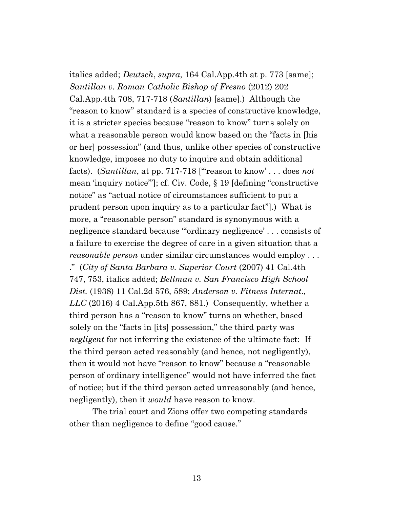italics added; *Deutsch*, *supra*, 164 Cal.App.4th at p. 773 [same]; *Santillan v. Roman Catholic Bishop of Fresno* (2012) 202 Cal.App.4th 708, 717-718 (*Santillan*) [same].) Although the "reason to know" standard is a species of constructive knowledge, it is a stricter species because "reason to know" turns solely on what a reasonable person would know based on the "facts in [his or her] possession" (and thus, unlike other species of constructive knowledge, imposes no duty to inquire and obtain additional facts). (*Santillan*, at pp. 717-718 ["'reason to know' . . . does *not* mean 'inquiry notice'"]; cf. Civ. Code, § 19 [defining "constructive notice" as "actual notice of circumstances sufficient to put a prudent person upon inquiry as to a particular fact"].) What is more, a "reasonable person" standard is synonymous with a negligence standard because "'ordinary negligence' . . . consists of a failure to exercise the degree of care in a given situation that a *reasonable person* under similar circumstances would employ . . . ." (*City of Santa Barbara v. Superior Court* (2007) 41 Cal.4th 747, 753, italics added; *Bellman v. San Francisco High School Dist.* (1938) 11 Cal.2d 576, 589; *Anderson v. Fitness Internat., LLC* (2016) 4 Cal.App.5th 867, 881.) Consequently, whether a third person has a "reason to know" turns on whether, based solely on the "facts in [its] possession," the third party was *negligent* for not inferring the existence of the ultimate fact: If the third person acted reasonably (and hence, not negligently), then it would not have "reason to know" because a "reasonable person of ordinary intelligence" would not have inferred the fact of notice; but if the third person acted unreasonably (and hence, negligently), then it *would* have reason to know.

The trial court and Zions offer two competing standards other than negligence to define "good cause."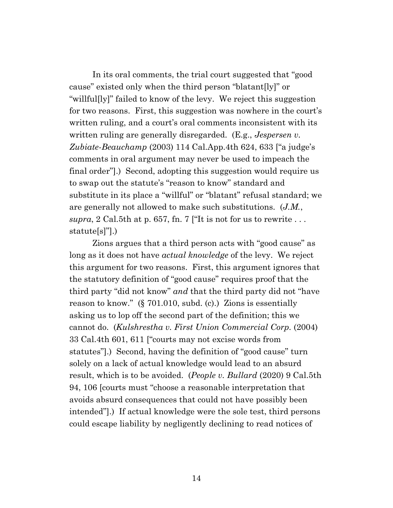In its oral comments, the trial court suggested that "good cause" existed only when the third person "blatant[ly]" or "willful[ly]" failed to know of the levy. We reject this suggestion for two reasons. First, this suggestion was nowhere in the court's written ruling, and a court's oral comments inconsistent with its written ruling are generally disregarded. (E.g., *Jespersen v. Zubiate-Beauchamp* (2003) 114 Cal.App.4th 624, 633 ["a judge's comments in oral argument may never be used to impeach the final order"].) Second, adopting this suggestion would require us to swap out the statute's "reason to know" standard and substitute in its place a "willful" or "blatant" refusal standard; we are generally not allowed to make such substitutions. (*J.M.*, *supra*, 2 Cal.5th at p. 657, fn. 7 ["It is not for us to rewrite  $\ldots$ statute[s]"].)

Zions argues that a third person acts with "good cause" as long as it does not have *actual knowledge* of the levy. We reject this argument for two reasons. First, this argument ignores that the statutory definition of "good cause" requires proof that the third party "did not know" *and* that the third party did not "have reason to know." (§ 701.010, subd. (c).) Zions is essentially asking us to lop off the second part of the definition; this we cannot do. (*Kulshrestha v. First Union Commercial Corp.* (2004) 33 Cal.4th 601, 611 ["courts may not excise words from statutes"].) Second, having the definition of "good cause" turn solely on a lack of actual knowledge would lead to an absurd result, which is to be avoided. (*People v. Bullard* (2020) 9 Cal.5th 94, 106 [courts must "choose a reasonable interpretation that avoids absurd consequences that could not have possibly been intended"].) If actual knowledge were the sole test, third persons could escape liability by negligently declining to read notices of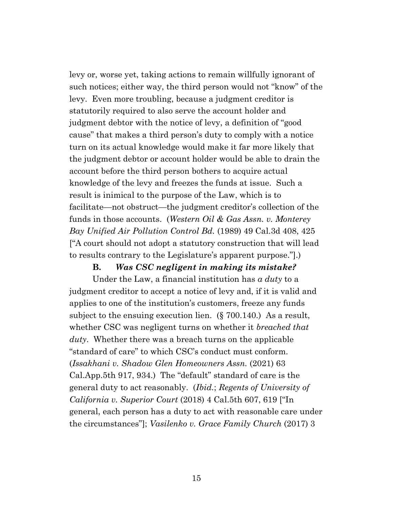levy or, worse yet, taking actions to remain willfully ignorant of such notices; either way, the third person would not "know" of the levy. Even more troubling, because a judgment creditor is statutorily required to also serve the account holder and judgment debtor with the notice of levy, a definition of "good cause" that makes a third person's duty to comply with a notice turn on its actual knowledge would make it far more likely that the judgment debtor or account holder would be able to drain the account before the third person bothers to acquire actual knowledge of the levy and freezes the funds at issue. Such a result is inimical to the purpose of the Law, which is to facilitate—not obstruct—the judgment creditor's collection of the funds in those accounts. (*Western Oil & Gas Assn. v. Monterey Bay Unified Air Pollution Control Bd.* (1989) 49 Cal.3d 408, 425 ["A court should not adopt a statutory construction that will lead to results contrary to the Legislature's apparent purpose."].)

#### **B.** *Was CSC negligent in making its mistake?*

Under the Law, a financial institution has *a duty* to a judgment creditor to accept a notice of levy and, if it is valid and applies to one of the institution's customers, freeze any funds subject to the ensuing execution lien. (§ 700.140.) As a result, whether CSC was negligent turns on whether it *breached that duty*. Whether there was a breach turns on the applicable "standard of care" to which CSC's conduct must conform. (*Issakhani v. Shadow Glen Homeowners Assn.* (2021) 63 Cal.App.5th 917, 934.) The "default" standard of care is the general duty to act reasonably. (*Ibid.*; *Regents of University of California v. Superior Court* (2018) 4 Cal.5th 607, 619 ["In general, each person has a duty to act with reasonable care under the circumstances"]; *Vasilenko v. Grace Family Church* (2017) 3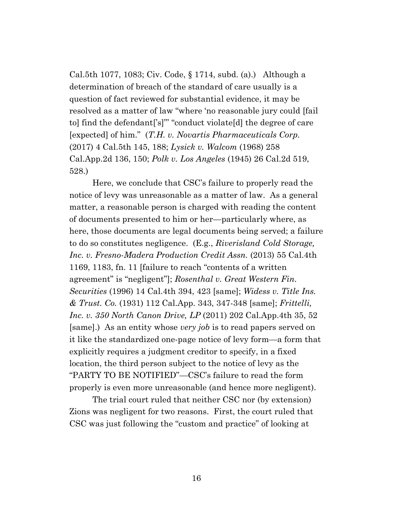Cal.5th 1077, 1083; Civ. Code, § 1714, subd. (a).) Although a determination of breach of the standard of care usually is a question of fact reviewed for substantial evidence, it may be resolved as a matter of law "where 'no reasonable jury could [fail to] find the defendant['s]"' "conduct violate[d] the degree of care [expected] of him." (*T.H. v. Novartis Pharmaceuticals Corp.* (2017) 4 Cal.5th 145, 188; *Lysick v. Walcom* (1968) 258 Cal.App.2d 136, 150; *Polk v. Los Angeles* (1945) 26 Cal.2d 519, 528.)

Here, we conclude that CSC's failure to properly read the notice of levy was unreasonable as a matter of law. As a general matter, a reasonable person is charged with reading the content of documents presented to him or her—particularly where, as here, those documents are legal documents being served; a failure to do so constitutes negligence. (E.g., *Riverisland Cold Storage, Inc. v. Fresno-Madera Production Credit Assn.* (2013) 55 Cal.4th 1169, 1183, fn. 11 [failure to reach "contents of a written agreement" is "negligent"]; *Rosenthal v. Great Western Fin. Securities* (1996) 14 Cal.4th 394, 423 [same]; *Widess v. Title Ins. & Trust. Co.* (1931) 112 Cal.App. 343, 347-348 [same]; *Frittelli, Inc. v. 350 North Canon Drive, LP* (2011) 202 Cal.App.4th 35, 52 [same].) As an entity whose *very job* is to read papers served on it like the standardized one-page notice of levy form—a form that explicitly requires a judgment creditor to specify, in a fixed location, the third person subject to the notice of levy as the "PARTY TO BE NOTIFIED"—CSC's failure to read the form properly is even more unreasonable (and hence more negligent).

The trial court ruled that neither CSC nor (by extension) Zions was negligent for two reasons. First, the court ruled that CSC was just following the "custom and practice" of looking at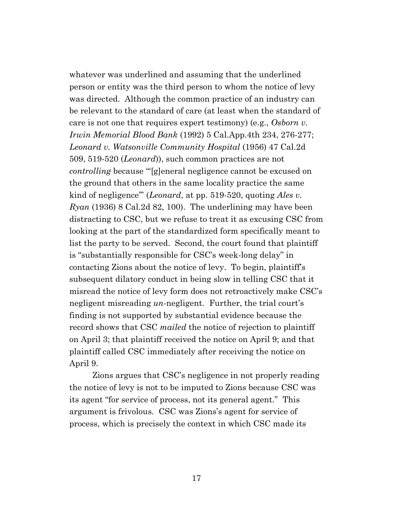whatever was underlined and assuming that the underlined person or entity was the third person to whom the notice of levy was directed. Although the common practice of an industry can be relevant to the standard of care (at least when the standard of care is not one that requires expert testimony) (e.g., *Osborn v. Irwin Memorial Blood Bank* (1992) 5 Cal.App.4th 234, 276-277; *Leonard v. Watsonville Community Hospital* (1956) 47 Cal.2d 509, 519-520 (*Leonard*)), such common practices are not *controlling* because "'[g]eneral negligence cannot be excused on the ground that others in the same locality practice the same kind of negligence'" (*Leonard*, at pp. 519-520, quoting *Ales v. Ryan* (1936) 8 Cal.2d 82, 100). The underlining may have been distracting to CSC, but we refuse to treat it as excusing CSC from looking at the part of the standardized form specifically meant to list the party to be served. Second, the court found that plaintiff is "substantially responsible for CSC's week-long delay" in contacting Zions about the notice of levy. To begin, plaintiff's subsequent dilatory conduct in being slow in telling CSC that it misread the notice of levy form does not retroactively make CSC's negligent misreading *un-*negligent. Further, the trial court's finding is not supported by substantial evidence because the record shows that CSC *mailed* the notice of rejection to plaintiff on April 3; that plaintiff received the notice on April 9; and that plaintiff called CSC immediately after receiving the notice on April 9.

Zions argues that CSC's negligence in not properly reading the notice of levy is not to be imputed to Zions because CSC was its agent "for service of process, not its general agent." This argument is frivolous. CSC was Zions's agent for service of process, which is precisely the context in which CSC made its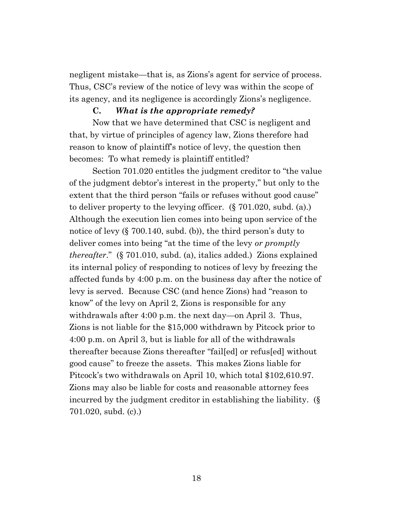negligent mistake—that is, as Zions's agent for service of process. Thus, CSC's review of the notice of levy was within the scope of its agency, and its negligence is accordingly Zions's negligence.

### **C.** *What is the appropriate remedy?*

Now that we have determined that CSC is negligent and that, by virtue of principles of agency law, Zions therefore had reason to know of plaintiff's notice of levy, the question then becomes: To what remedy is plaintiff entitled?

Section 701.020 entitles the judgment creditor to "the value of the judgment debtor's interest in the property," but only to the extent that the third person "fails or refuses without good cause" to deliver property to the levying officer. (§ 701.020, subd. (a).) Although the execution lien comes into being upon service of the notice of levy (§ 700.140, subd. (b)), the third person's duty to deliver comes into being "at the time of the levy *or promptly thereafter*." (§ 701.010, subd. (a), italics added.) Zions explained its internal policy of responding to notices of levy by freezing the affected funds by 4:00 p.m. on the business day after the notice of levy is served. Because CSC (and hence Zions) had "reason to know" of the levy on April 2, Zions is responsible for any withdrawals after 4:00 p.m. the next day—on April 3. Thus, Zions is not liable for the \$15,000 withdrawn by Pitcock prior to 4:00 p.m. on April 3, but is liable for all of the withdrawals thereafter because Zions thereafter "fail[ed] or refus[ed] without good cause" to freeze the assets. This makes Zions liable for Pitcock's two withdrawals on April 10, which total \$102,610.97. Zions may also be liable for costs and reasonable attorney fees incurred by the judgment creditor in establishing the liability. (§ 701.020, subd. (c).)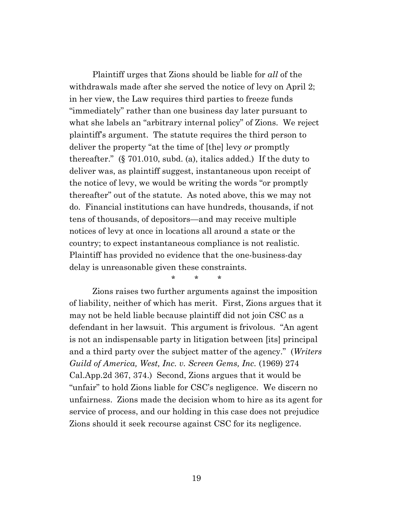Plaintiff urges that Zions should be liable for *all* of the withdrawals made after she served the notice of levy on April 2; in her view, the Law requires third parties to freeze funds "immediately" rather than one business day later pursuant to what she labels an "arbitrary internal policy" of Zions. We reject plaintiff's argument. The statute requires the third person to deliver the property "at the time of [the] levy *or* promptly thereafter." (§ 701.010, subd. (a), italics added.) If the duty to deliver was, as plaintiff suggest, instantaneous upon receipt of the notice of levy, we would be writing the words "or promptly thereafter" out of the statute. As noted above, this we may not do. Financial institutions can have hundreds, thousands, if not tens of thousands, of depositors—and may receive multiple notices of levy at once in locations all around a state or the country; to expect instantaneous compliance is not realistic. Plaintiff has provided no evidence that the one-business-day delay is unreasonable given these constraints.

\* \* \*

Zions raises two further arguments against the imposition of liability, neither of which has merit. First, Zions argues that it may not be held liable because plaintiff did not join CSC as a defendant in her lawsuit. This argument is frivolous. "An agent is not an indispensable party in litigation between [its] principal and a third party over the subject matter of the agency." (*Writers Guild of America, West, Inc. v. Screen Gems, Inc.* (1969) 274 Cal.App.2d 367, 374.) Second, Zions argues that it would be "unfair" to hold Zions liable for CSC's negligence. We discern no unfairness. Zions made the decision whom to hire as its agent for service of process, and our holding in this case does not prejudice Zions should it seek recourse against CSC for its negligence.